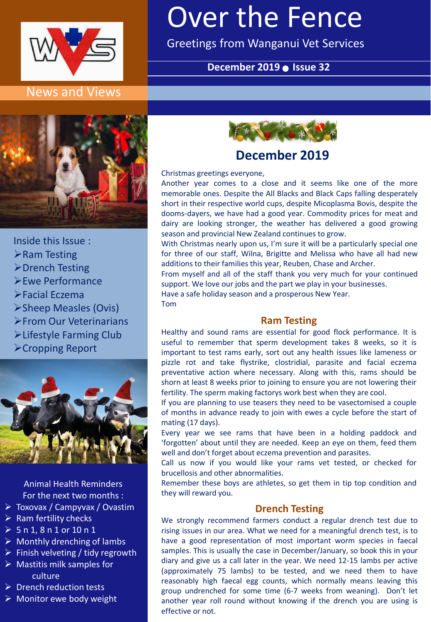

#### News and Views

# Over the Fence

Greetings from Wanganui Vet Services

#### December 2019 **·** Issue 32



Inside this Issue : ➢Ram Testing ➢Drench Testing ➢Ewe Performance ➢Facial Eczema ➢Sheep Measles (Ovis) ➢From Our Veterinarians

- ➢Lifestyle Farming Club
- ➢Cropping Report



Animal Health Reminders For the next two months :

- ➢ Toxovax / Campyvax / Ovastim
- $\triangleright$  Ram fertility checks
- $> 5 n 1, 8 n 1 or 10 n 1$
- $\triangleright$  Monthly drenching of lambs
- $\triangleright$  Finish velveting / tidy regrowth
- $\triangleright$  Mastitis milk samples for culture
- ➢ Drench reduction tests
- $\triangleright$  Monitor ewe body weight



# **December 2019**

Christmas greetings everyone,

Another year comes to a close and it seems like one of the more memorable ones. Despite the All Blacks and Black Caps falling desperately short in their respective world cups, despite Micoplasma Bovis, despite the dooms-dayers, we have had a good year. Commodity prices for meat and dairy are looking stronger, the weather has delivered a good growing season and provincial New Zealand continues to grow.

With Christmas nearly upon us, I'm sure it will be a particularly special one for three of our staff, Wilna, Brigitte and Melissa who have all had new additions to their families this year, Reuben, Chase and Archer.

From myself and all of the staff thank you very much for your continued support. We love our jobs and the part we play in your businesses.

Have a safe holiday season and a prosperous New Year. Tom

# **Ram Testing**

Healthy and sound rams are essential for good flock performance. It is useful to remember that sperm development takes 8 weeks, so it is important to test rams early, sort out any health issues like lameness or pizzle rot and take flystrike, clostridial, parasite and facial eczema preventative action where necessary. Along with this, rams should be shorn at least 8 weeks prior to joining to ensure you are not lowering their fertility. The sperm making factorys work best when they are cool.

If you are planning to use teasers they need to be vasectomised a couple of months in advance ready to join with ewes a cycle before the start of mating (17 days).

Every year we see rams that have been in a holding paddock and 'forgotten' about until they are needed. Keep an eye on them, feed them well and don't forget about eczema prevention and parasites.

Call us now if you would like your rams vet tested, or checked for brucellosis and other abnormalities.

Remember these boys are athletes, so get them in tip top condition and they will reward you.

#### **Drench Testing**

We strongly recommend farmers conduct a regular drench test due to rising issues in our area. What we need for a meaningful drench test, is to have a good representation of most important worm species in faecal samples. This is usually the case in December/January, so book this in your diary and give us a call later in the year. We need 12-15 lambs per active (approximately 75 lambs) to be tested, and we need them to have reasonably high faecal egg counts, which normally means leaving this group undrenched for some time (6-7 weeks from weaning). Don't let another year roll round without knowing if the drench you are using is effective or not.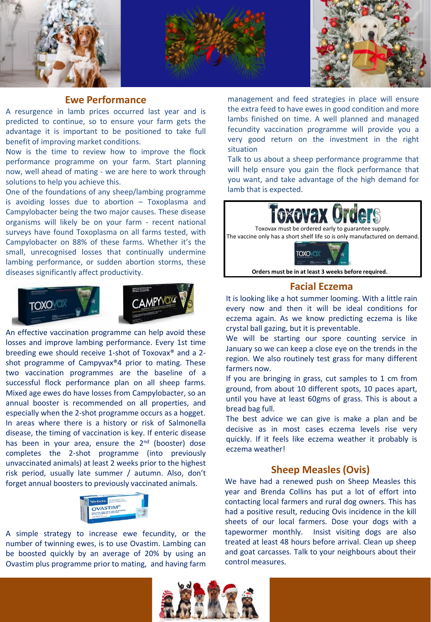





#### **Ewe Performance**

A resurgence in lamb prices occurred last year and is predicted to continue, so to ensure your farm gets the advantage it is important to be positioned to take full benefit of improving market conditions.

Now is the time to review how to improve the flock performance programme on your farm. Start planning now, well ahead of mating - we are here to work through solutions to help you achieve this.

One of the foundations of any sheep/lambing programme is avoiding losses due to abortion – Toxoplasma and Campylobacter being the two major causes. These disease organisms will likely be on your farm - recent national surveys have found Toxoplasma on all farms tested, with Campylobacter on 88% of these farms. Whether it's the small, unrecognised losses that continually undermine lambing performance, or sudden abortion storms, these diseases significantly affect productivity.



An effective vaccination programme can help avoid these losses and improve lambing performance. Every 1st time breeding ewe should receive 1-shot of Toxovax® and a 2 shot programme of Campyvax®4 prior to mating. These two vaccination programmes are the baseline of a successful flock performance plan on all sheep farms. Mixed age ewes do have losses from Campylobacter, so an annual booster is recommended on all properties, and especially when the 2-shot programme occurs as a hogget. In areas where there is a history or risk of Salmonella disease, the timing of vaccination is key. If enteric disease has been in your area, ensure the 2<sup>nd</sup> (booster) dose completes the 2-shot programme (into previously unvaccinated animals) at least 2 weeks prior to the highest risk period, usually late summer / autumn. Also, don't forget annual boosters to previously vaccinated animals.



A simple strategy to increase ewe fecundity, or the number of twinning ewes, is to use Ovastim. Lambing can be boosted quickly by an average of 20% by using an Ovastim plus programme prior to mating, and having farm

management and feed strategies in place will ensure the extra feed to have ewes in good condition and more lambs finished on time. A well planned and managed fecundity vaccination programme will provide you a very good return on the investment in the right situation

Talk to us about a sheep performance programme that will help ensure you gain the flock performance that you want, and take advantage of the high demand for lamb that is expected.





#### **Facial Eczema**

It is looking like a hot summer looming. With a little rain every now and then it will be ideal conditions for eczema again. As we know predicting eczema is like crystal ball gazing, but it is preventable.

We will be starting our spore counting service in January so we can keep a close eye on the trends in the region. We also routinely test grass for many different farmers now.

If you are bringing in grass, cut samples to 1 cm from ground, from about 10 different spots, 10 paces apart, until you have at least 60gms of grass. This is about a bread bag full.

The best advice we can give is make a plan and be decisive as in most cases eczema levels rise very quickly. If it feels like eczema weather it probably is eczema weather!

#### **Sheep Measles (Ovis)**

We have had a renewed push on Sheep Measles this year and Brenda Collins has put a lot of effort into contacting local farmers and rural dog owners. This has had a positive result, reducing Ovis incidence in the kill sheets of our local farmers. Dose your dogs with a tapewormer monthly. Insist visiting dogs are also treated at least 48 hours before arrival. Clean up sheep and goat carcasses. Talk to your neighbours about their control measures.

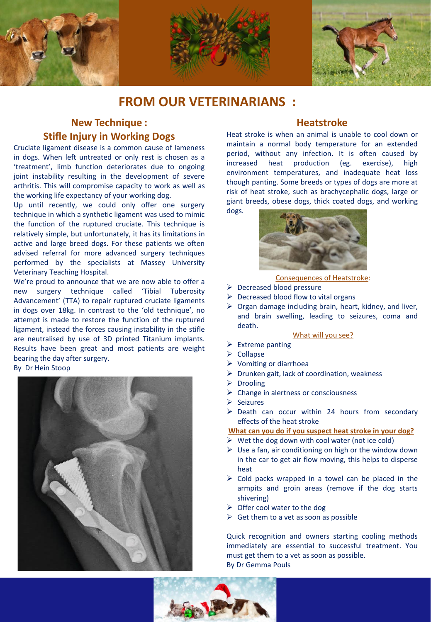

### **FROM OUR VETERINARIANS :**

#### **New Technique : Stifle Injury in Working Dogs**

Cruciate ligament disease is a common cause of lameness in dogs. When left untreated or only rest is chosen as a 'treatment', limb function deteriorates due to ongoing joint instability resulting in the development of severe arthritis. This will compromise capacity to work as well as the working life expectancy of your working dog.

Up until recently, we could only offer one surgery technique in which a synthetic ligament was used to mimic the function of the ruptured cruciate. This technique is relatively simple, but unfortunately, it has its limitations in active and large breed dogs. For these patients we often advised referral for more advanced surgery techniques performed by the specialists at Massey University Veterinary Teaching Hospital.

We're proud to announce that we are now able to offer a new surgery technique called 'Tibial Tuberosity Advancement' (TTA) to repair ruptured cruciate ligaments in dogs over 18kg. In contrast to the 'old technique', no attempt is made to restore the function of the ruptured ligament, instead the forces causing instability in the stifle are neutralised by use of 3D printed Titanium implants. Results have been great and most patients are weight bearing the day after surgery. By Dr Hein Stoop



#### **Heatstroke**

Heat stroke is when an animal is unable to cool down or maintain a normal body temperature for an extended period, without any infection. It is often caused by increased heat production (eg. exercise), high environment temperatures, and inadequate heat loss though panting. Some breeds or types of dogs are more at risk of heat stroke, such as brachycephalic dogs, large or giant breeds, obese dogs, thick coated dogs, and working dogs.



Consequences of Heatstroke:

- ➢ Decreased blood pressure
- $\triangleright$  Decreased blood flow to vital organs
- $\triangleright$  Organ damage including brain, heart, kidney, and liver, and brain swelling, leading to seizures, coma and death.

#### What will you see?

- ➢ Extreme panting
- ➢ Collapse
- ➢ Vomiting or diarrhoea
- $\triangleright$  Drunken gait, lack of coordination, weakness
- ➢ Drooling
- ➢ Change in alertness or consciousness
- ➢ Seizures
- ➢ Death can occur within 24 hours from secondary effects of the heat stroke

#### **What can you do if you suspect heat stroke in your dog?**

- $\triangleright$  Wet the dog down with cool water (not ice cold)
- $\triangleright$  Use a fan, air conditioning on high or the window down in the car to get air flow moving, this helps to disperse heat
- $\triangleright$  Cold packs wrapped in a towel can be placed in the armpits and groin areas (remove if the dog starts shivering)
- $\triangleright$  Offer cool water to the dog
- $\triangleright$  Get them to a vet as soon as possible

Quick recognition and owners starting cooling methods immediately are essential to successful treatment. You must get them to a vet as soon as possible. By Dr Gemma Pouls